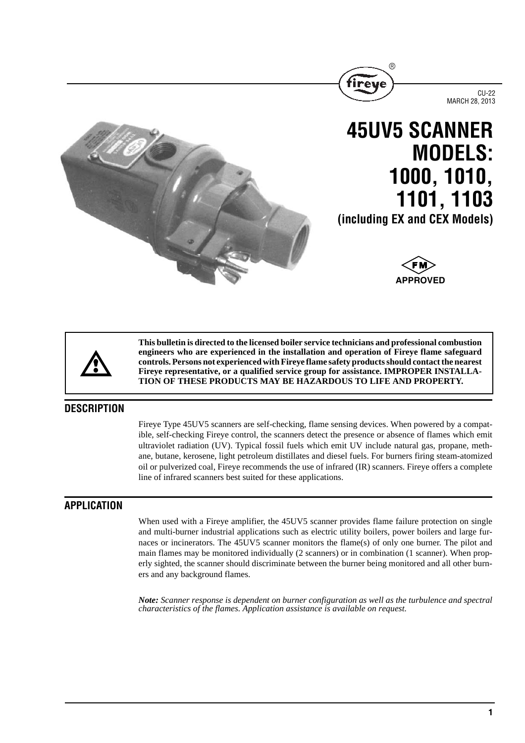





**(including EX and CEX Models)**

**1101, 1103**



**This bulletin is directed to the licensed boiler service technicians and professional combustion engineers who are experienced in the installation and operation of Fireye flame safeguard controls. Persons not experienced with Fireye flame safety products should contact the nearest Fireye representative, or a qualified service group for assistance. IMPROPER INSTALLA-TION OF THESE PRODUCTS MAY BE HAZARDOUS TO LIFE AND PROPERTY.**

# **DESCRIPTION**

Fireye Type 45UV5 scanners are self-checking, flame sensing devices. When powered by a compatible, self-checking Fireye control, the scanners detect the presence or absence of flames which emit ultraviolet radiation (UV). Typical fossil fuels which emit UV include natural gas, propane, methane, butane, kerosene, light petroleum distillates and diesel fuels. For burners firing steam-atomized oil or pulverized coal, Fireye recommends the use of infrared (IR) scanners. Fireye offers a complete line of infrared scanners best suited for these applications.

# **APPLICATION**

When used with a Fireye amplifier, the 45UV5 scanner provides flame failure protection on single and multi-burner industrial applications such as electric utility boilers, power boilers and large furnaces or incinerators. The 45UV5 scanner monitors the flame(s) of only one burner. The pilot and main flames may be monitored individually (2 scanners) or in combination (1 scanner). When properly sighted, the scanner should discriminate between the burner being monitored and all other burners and any background flames.

*Note: Scanner response is dependent on burner configuration as well as the turbulence and spectral characteristics of the flames. Application assistance is available on request.*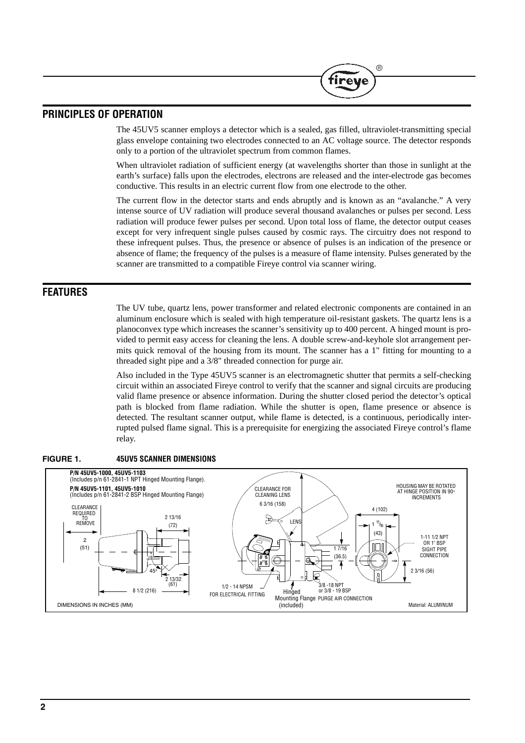## **PRINCIPLES OF OPERATION**

The 45UV5 scanner employs a detector which is a sealed, gas filled, ultraviolet-transmitting special glass envelope containing two electrodes connected to an AC voltage source. The detector responds only to a portion of the ultraviolet spectrum from common flames.

(R

iret

When ultraviolet radiation of sufficient energy (at wavelengths shorter than those in sunlight at the earth's surface) falls upon the electrodes, electrons are released and the inter-electrode gas becomes conductive. This results in an electric current flow from one electrode to the other.

The current flow in the detector starts and ends abruptly and is known as an "avalanche." A very intense source of UV radiation will produce several thousand avalanches or pulses per second. Less radiation will produce fewer pulses per second. Upon total loss of flame, the detector output ceases except for very infrequent single pulses caused by cosmic rays. The circuitry does not respond to these infrequent pulses. Thus, the presence or absence of pulses is an indication of the presence or absence of flame; the frequency of the pulses is a measure of flame intensity. Pulses generated by the scanner are transmitted to a compatible Fireye control via scanner wiring.

## **FEATURES**

The UV tube, quartz lens, power transformer and related electronic components are contained in an aluminum enclosure which is sealed with high temperature oil-resistant gaskets. The quartz lens is a planoconvex type which increases the scanner's sensitivity up to 400 percent. A hinged mount is provided to permit easy access for cleaning the lens. A double screw-and-keyhole slot arrangement permits quick removal of the housing from its mount. The scanner has a 1" fitting for mounting to a threaded sight pipe and a 3/8" threaded connection for purge air.

Also included in the Type 45UV5 scanner is an electromagnetic shutter that permits a self-checking circuit within an associated Fireye control to verify that the scanner and signal circuits are producing valid flame presence or absence information. During the shutter closed period the detector's optical path is blocked from flame radiation. While the shutter is open, flame presence or absence is detected. The resultant scanner output, while flame is detected, is a continuous, periodically interrupted pulsed flame signal. This is a prerequisite for energizing the associated Fireye control's flame relay.



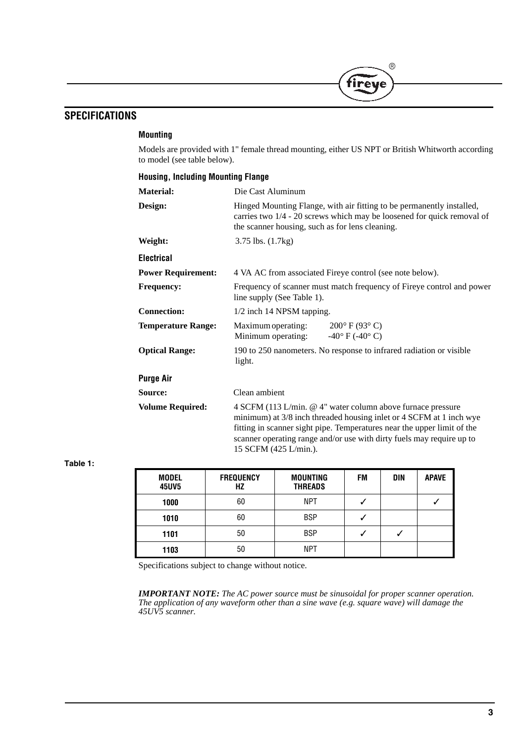# **SPECIFICATIONS**

#### **Mounting**

Models are provided with 1" female thread mounting, either US NPT or British Whitworth according to model (see table below).

 $(R)$ 

fireye

| <b>Housing, Including Mounting Flange</b> |                                                                                                                                                                                                                                                                                                                 |  |  |  |
|-------------------------------------------|-----------------------------------------------------------------------------------------------------------------------------------------------------------------------------------------------------------------------------------------------------------------------------------------------------------------|--|--|--|
| <b>Material:</b>                          | Die Cast Aluminum                                                                                                                                                                                                                                                                                               |  |  |  |
| Design:                                   | Hinged Mounting Flange, with air fitting to be permanently installed,<br>carries two 1/4 - 20 screws which may be loosened for quick removal of<br>the scanner housing, such as for lens cleaning.                                                                                                              |  |  |  |
| Weight:                                   | $3.75$ lbs. $(1.7kg)$                                                                                                                                                                                                                                                                                           |  |  |  |
| <b>Electrical</b>                         |                                                                                                                                                                                                                                                                                                                 |  |  |  |
| <b>Power Requirement:</b>                 | 4 VA AC from associated Fireye control (see note below).                                                                                                                                                                                                                                                        |  |  |  |
| <b>Frequency:</b>                         | Frequency of scanner must match frequency of Fireye control and power<br>line supply (See Table 1).                                                                                                                                                                                                             |  |  |  |
| <b>Connection:</b>                        | 1/2 inch 14 NPSM tapping.                                                                                                                                                                                                                                                                                       |  |  |  |
| <b>Temperature Range:</b>                 | $200^{\circ}$ F (93°C)<br>Maximum operating:<br>Minimum operating:<br>-40 $\degree$ F (-40 $\degree$ C)                                                                                                                                                                                                         |  |  |  |
| <b>Optical Range:</b>                     | 190 to 250 nanometers. No response to infrared radiation or visible<br>light.                                                                                                                                                                                                                                   |  |  |  |
| <b>Purge Air</b>                          |                                                                                                                                                                                                                                                                                                                 |  |  |  |
| Source:                                   | Clean ambient                                                                                                                                                                                                                                                                                                   |  |  |  |
| <b>Volume Required:</b>                   | 4 SCFM (113 L/min. @ 4" water column above furnace pressure<br>minimum) at 3/8 inch threaded housing inlet or 4 SCFM at 1 inch wye<br>fitting in scanner sight pipe. Temperatures near the upper limit of the<br>scanner operating range and/or use with dirty fuels may require up to<br>15 SCFM (425 L/min.). |  |  |  |

#### **Table 1:**

| <b>MODEL</b><br><b>45UV5</b> | <b>FREQUENCY</b><br>ΗZ | MOUNTING<br><b>THREADS</b> | <b>FM</b> | DIN | <b>APAVE</b> |
|------------------------------|------------------------|----------------------------|-----------|-----|--------------|
| 1000                         | 60                     | <b>NPT</b>                 |           |     |              |
| 1010                         | 60                     | <b>BSP</b>                 |           |     |              |
| 1101                         | 50                     | <b>BSP</b>                 |           |     |              |
| 1103                         | 50                     | <b>NPT</b>                 |           |     |              |

Specifications subject to change without notice.

*IMPORTANT NOTE: The AC power source must be sinusoidal for proper scanner operation. The application of any waveform other than a sine wave (e.g. square wave) will damage the 45UV5 scanner.*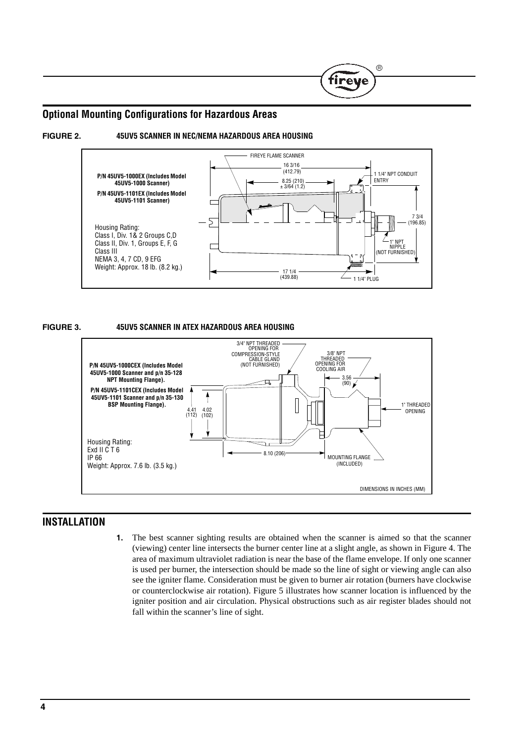# **Optional Mounting Configurations for Hazardous Areas**





(R

'ireve



#### **FIGURE 3. 45UV5 SCANNER IN ATEX HAZARDOUS AREA HOUSING**



## **INSTALLATION**

**1.** The best scanner sighting results are obtained when the scanner is aimed so that the scanner (viewing) center line intersects the burner center line at a slight angle, as shown in Figure 4. The area of maximum ultraviolet radiation is near the base of the flame envelope. If only one scanner is used per burner, the intersection should be made so the line of sight or viewing angle can also see the igniter flame. Consideration must be given to burner air rotation (burners have clockwise or counterclockwise air rotation). Figure 5 illustrates how scanner location is influenced by the igniter position and air circulation. Physical obstructions such as air register blades should not fall within the scanner's line of sight.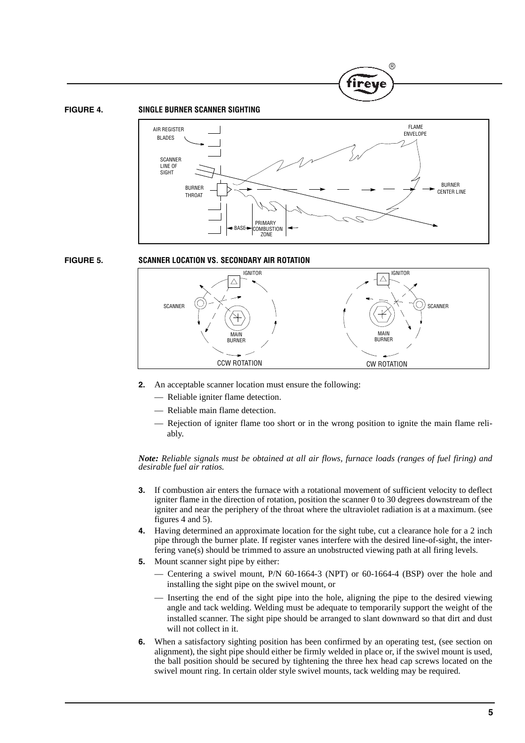



**R** 



#### **FIGURE 5. SCANNER LOCATION VS. SECONDARY AIR ROTATION**



- **2.** An acceptable scanner location must ensure the following:
	- Reliable igniter flame detection.
	- Reliable main flame detection.
	- Rejection of igniter flame too short or in the wrong position to ignite the main flame reliably.

*Note: Reliable signals must be obtained at all air flows, furnace loads (ranges of fuel firing) and desirable fuel air ratios.*

- **3.** If combustion air enters the furnace with a rotational movement of sufficient velocity to deflect igniter flame in the direction of rotation, position the scanner 0 to 30 degrees downstream of the igniter and near the periphery of the throat where the ultraviolet radiation is at a maximum. (see figures 4 and 5).
- **4.** Having determined an approximate location for the sight tube, cut a clearance hole for a 2 inch pipe through the burner plate. If register vanes interfere with the desired line-of-sight, the interfering vane(s) should be trimmed to assure an unobstructed viewing path at all firing levels.
- **5.** Mount scanner sight pipe by either:
	- Centering a swivel mount, P/N 60-1664-3 (NPT) or 60-1664-4 (BSP) over the hole and installing the sight pipe on the swivel mount, or
	- Inserting the end of the sight pipe into the hole, aligning the pipe to the desired viewing angle and tack welding. Welding must be adequate to temporarily support the weight of the installed scanner. The sight pipe should be arranged to slant downward so that dirt and dust will not collect in it.
- **6.** When a satisfactory sighting position has been confirmed by an operating test, (see section on alignment), the sight pipe should either be firmly welded in place or, if the swivel mount is used, the ball position should be secured by tightening the three hex head cap screws located on the swivel mount ring. In certain older style swivel mounts, tack welding may be required.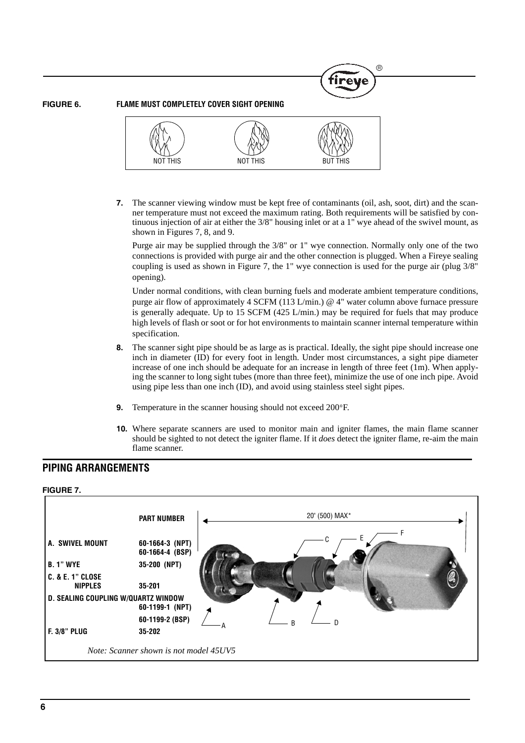**FIGURE 6. FLAME MUST COMPLETELY COVER SIGHT OPENING**



**7.** The scanner viewing window must be kept free of contaminants (oil, ash, soot, dirt) and the scanner temperature must not exceed the maximum rating. Both requirements will be satisfied by continuous injection of air at either the 3/8" housing inlet or at a 1" wye ahead of the swivel mount, as shown in Figures 7, 8, and 9.

Purge air may be supplied through the 3/8" or 1" wye connection. Normally only one of the two connections is provided with purge air and the other connection is plugged. When a Fireye sealing coupling is used as shown in Figure 7, the 1" wye connection is used for the purge air (plug 3/8" opening).

Under normal conditions, with clean burning fuels and moderate ambient temperature conditions, purge air flow of approximately 4 SCFM (113 L/min.) @ 4" water column above furnace pressure is generally adequate. Up to 15 SCFM (425 L/min.) may be required for fuels that may produce high levels of flash or soot or for hot environments to maintain scanner internal temperature within specification.

- **8.** The scanner sight pipe should be as large as is practical. Ideally, the sight pipe should increase one inch in diameter (ID) for every foot in length. Under most circumstances, a sight pipe diameter increase of one inch should be adequate for an increase in length of three feet (1m). When applying the scanner to long sight tubes (more than three feet), minimize the use of one inch pipe. Avoid using pipe less than one inch (ID), and avoid using stainless steel sight pipes.
- **9.** Temperature in the scanner housing should not exceed 200°F.
- **10.** Where separate scanners are used to monitor main and igniter flames, the main flame scanner should be sighted to not detect the igniter flame. If it *does* detect the igniter flame, re-aim the main flame scanner.

# **PIPING ARRANGEMENTS**

#### **FIGURE 7.**

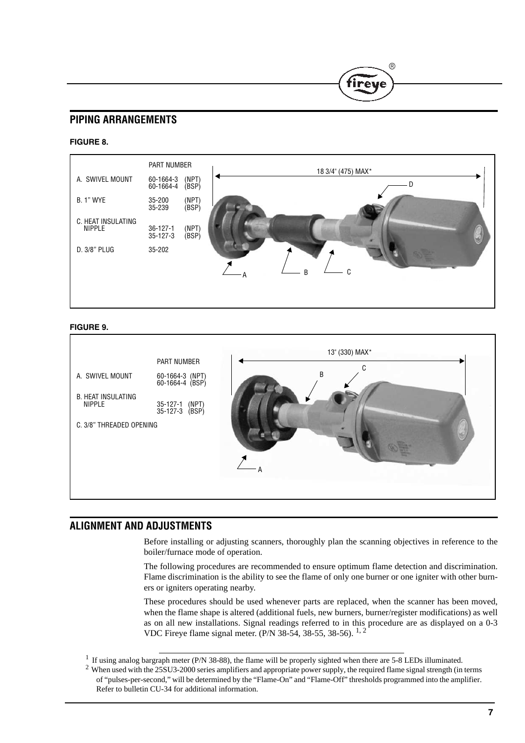# **PIPING ARRANGEMENTS**

#### **FIGURE 8.**



®

irev

#### **FIGURE 9.**



## **ALIGNMENT AND ADJUSTMENTS**

Before installing or adjusting scanners, thoroughly plan the scanning objectives in reference to the boiler/furnace mode of operation.

The following procedures are recommended to ensure optimum flame detection and discrimination. Flame discrimination is the ability to see the flame of only one burner or one igniter with other burners or igniters operating nearby.

These procedures should be used whenever parts are replaced, when the scanner has been moved, when the flame shape is altered (additional fuels, new burners, burner/register modifications) as well as on all new installations. Signal readings referred to in this procedure are as displayed on a 0-3 VDC Fireye flame signal meter. (P/N 38-54, 38-55, 38-56). 1, 2

 $2$  When used with the 25SU3-2000 series amplifiers and appropriate power supply, the required flame signal strength (in terms of "pulses-per-second," will be determined by the "Flame-On" and "Flame-Off" thresholds programmed into the amplifier. Refer to bulletin CU-34 for additional information.

 $1$  If using analog bargraph meter (P/N 38-88), the flame will be properly sighted when there are 5-8 LEDs illuminated.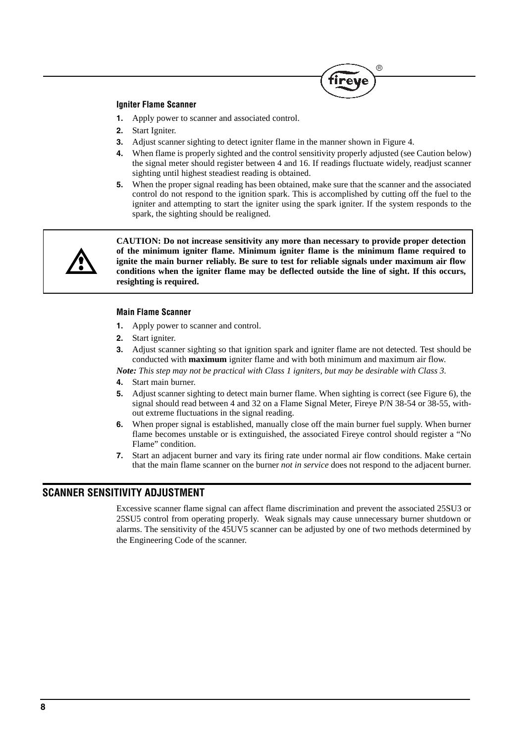#### **Igniter Flame Scanner**

- **1.** Apply power to scanner and associated control.
- **2.** Start Igniter.
- **3.** Adjust scanner sighting to detect igniter flame in the manner shown in Figure 4.
- **4.** When flame is properly sighted and the control sensitivity properly adjusted (see Caution below) the signal meter should register between 4 and 16. If readings fluctuate widely, readjust scanner sighting until highest steadiest reading is obtained.
- **5.** When the proper signal reading has been obtained, make sure that the scanner and the associated control do not respond to the ignition spark. This is accomplished by cutting off the fuel to the igniter and attempting to start the igniter using the spark igniter. If the system responds to the spark, the sighting should be realigned.



**CAUTION: Do not increase sensitivity any more than necessary to provide proper detection of the minimum igniter flame. Minimum igniter flame is the minimum flame required to ignite the main burner reliably. Be sure to test for reliable signals under maximum air flow conditions when the igniter flame may be deflected outside the line of sight. If this occurs, resighting is required.**

#### **Main Flame Scanner**

- **1.** Apply power to scanner and control.
- **2.** Start igniter.
- **3.** Adjust scanner sighting so that ignition spark and igniter flame are not detected. Test should be conducted with **maximum** igniter flame and with both minimum and maximum air flow.

*Note: This step may not be practical with Class 1 igniters, but may be desirable with Class 3.*

- **4.** Start main burner.
- **5.** Adjust scanner sighting to detect main burner flame. When sighting is correct (see Figure 6), the signal should read between 4 and 32 on a Flame Signal Meter, Fireye P/N 38-54 or 38-55, without extreme fluctuations in the signal reading.
- **6.** When proper signal is established, manually close off the main burner fuel supply. When burner flame becomes unstable or is extinguished, the associated Fireye control should register a "No Flame" condition.
- **7.** Start an adjacent burner and vary its firing rate under normal air flow conditions. Make certain that the main flame scanner on the burner *not in service* does not respond to the adjacent burner.

## **SCANNER SENSITIVITY ADJUSTMENT**

Excessive scanner flame signal can affect flame discrimination and prevent the associated 25SU3 or 25SU5 control from operating properly. Weak signals may cause unnecessary burner shutdown or alarms. The sensitivity of the 45UV5 scanner can be adjusted by one of two methods determined by the Engineering Code of the scanner.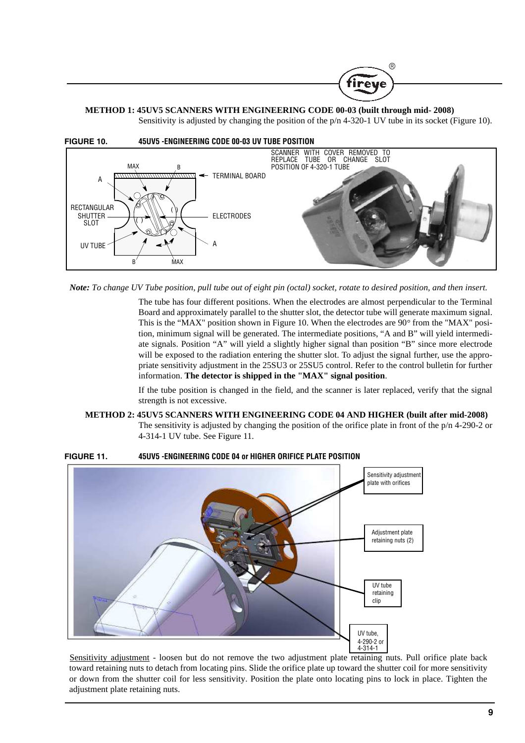

Sensitivity is adjusted by changing the position of the  $p/n$  4-320-1 UV tube in its socket (Figure 10).

®

fireve



*Note: To change UV Tube position, pull tube out of eight pin (octal) socket, rotate to desired position, and then insert.*

The tube has four different positions. When the electrodes are almost perpendicular to the Terminal Board and approximately parallel to the shutter slot, the detector tube will generate maximum signal. This is the "MAX" position shown in Figure 10. When the electrodes are  $90^{\circ}$  from the "MAX" position, minimum signal will be generated. The intermediate positions, "A and B" will yield intermediate signals. Position "A" will yield a slightly higher signal than position "B" since more electrode will be exposed to the radiation entering the shutter slot. To adjust the signal further, use the appropriate sensitivity adjustment in the 25SU3 or 25SU5 control. Refer to the control bulletin for further information. **The detector is shipped in the "MAX" signal position**.

If the tube position is changed in the field, and the scanner is later replaced, verify that the signal strength is not excessive.

**METHOD 2: 45UV5 SCANNERS WITH ENGINEERING CODE 04 AND HIGHER (built after mid-2008)** The sensitivity is adjusted by changing the position of the orifice plate in front of the  $p/n$  4-290-2 or 4-314-1 UV tube. See Figure 11.



**FIGURE 11. 45UV5 -ENGINEERING CODE 04 or HIGHER ORIFICE PLATE POSITION** 

Sensitivity adjustment - loosen but do not remove the two adjustment plate retaining nuts. Pull orifice plate back toward retaining nuts to detach from locating pins. Slide the orifice plate up toward the shutter coil for more sensitivity or down from the shutter coil for less sensitivity. Position the plate onto locating pins to lock in place. Tighten the adjustment plate retaining nuts.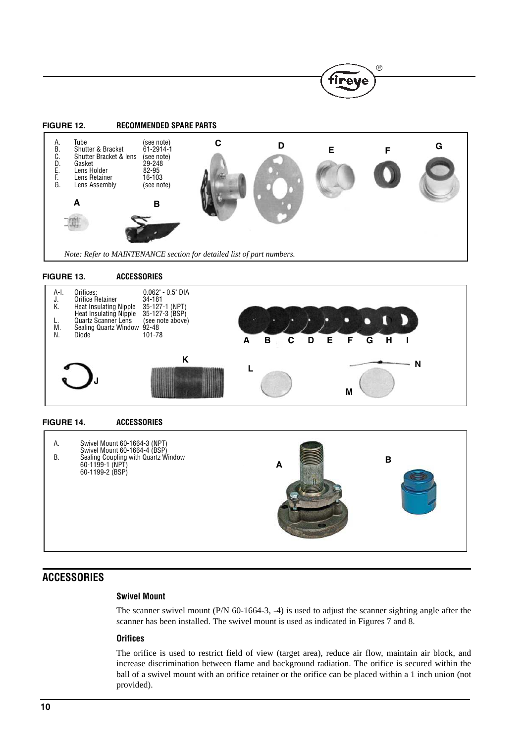

 $\mathbb{R}$ 

tirey

**FIGURE 13. ACCESSORIES**



#### **FIGURE 14. ACCESSORIES**



# **ACCESSORIES**

#### **Swivel Mount**

The scanner swivel mount (P/N 60-1664-3, -4) is used to adjust the scanner sighting angle after the scanner has been installed. The swivel mount is used as indicated in Figures 7 and 8.

#### **Orifices**

The orifice is used to restrict field of view (target area), reduce air flow, maintain air block, and increase discrimination between flame and background radiation. The orifice is secured within the ball of a swivel mount with an orifice retainer or the orifice can be placed within a 1 inch union (not provided).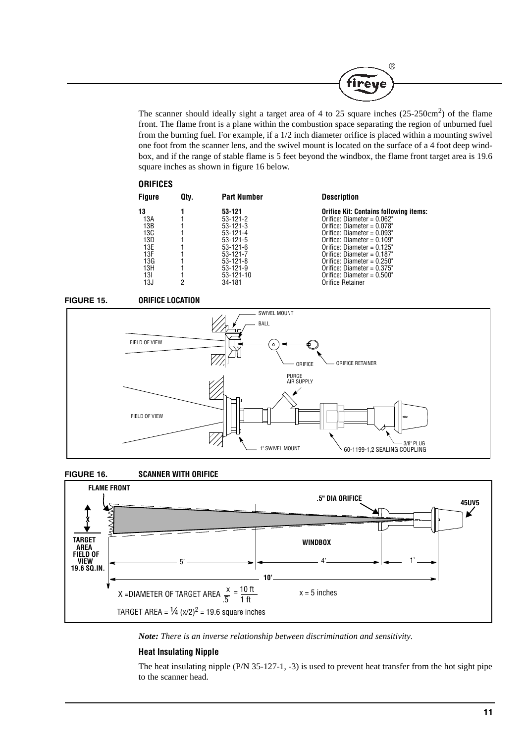

The scanner should ideally sight a target area of 4 to 25 square inches  $(25{\text -}250\text{cm}^2)$  of the flame front. The flame front is a plane within the combustion space separating the region of unburned fuel from the burning fuel. For example, if a 1/2 inch diameter orifice is placed within a mounting swivel one foot from the scanner lens, and the swivel mount is located on the surface of a 4 foot deep windbox, and if the range of stable flame is 5 feet beyond the windbox, the flame front target area is 19.6 square inches as shown in figure 16 below.

#### **ORIFICES**

| <b>Figure</b> | Qtv. | <b>Part Number</b> | <b>Description</b>                            |
|---------------|------|--------------------|-----------------------------------------------|
| 13            | っ    | 53-121             | <b>Orifice Kit: Contains following items:</b> |
| 13A           |      | $53-121-2$         | Orifice: Diameter = $0.062"$                  |
| 13B           |      | $53-121-3$         | Orifice: Diameter = $0.078$ "                 |
| 13C           |      | $53 - 121 - 4$     | Orifice: Diameter = $0.093"$                  |
| 13D           |      | $53-121-5$         | Orifice: Diameter = $0.109$ "                 |
| 13E           |      | $53-121-6$         | Orifice: Diameter = $0.125$ "                 |
| 13F           |      | $53-121-7$         | Orifice: Diameter = $0.187"$                  |
| 13G           |      | $53 - 121 - 8$     | Orifice: Diameter = $0.250$ "                 |
| 13H           |      | $53-121-9$         | Orifice: Diameter = $0.375$ "                 |
| 131           |      | $53-121-10$        | Orifice: Diameter = $0.500"$                  |
| 13J           |      | 34-181             | Orifice Retainer                              |









*Note: There is an inverse relationship between discrimination and sensitivity.*

#### **Heat Insulating Nipple**

The heat insulating nipple (P/N 35-127-1, -3) is used to prevent heat transfer from the hot sight pipe to the scanner head.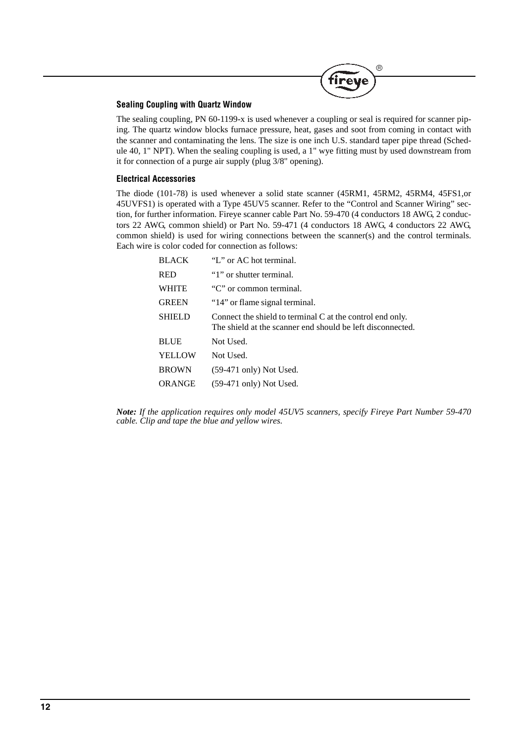

#### **Sealing Coupling with Quartz Window**

The sealing coupling, PN 60-1199-x is used whenever a coupling or seal is required for scanner piping. The quartz window blocks furnace pressure, heat, gases and soot from coming in contact with the scanner and contaminating the lens. The size is one inch U.S. standard taper pipe thread (Schedule 40, 1" NPT). When the sealing coupling is used, a 1" wye fitting must by used downstream from it for connection of a purge air supply (plug 3/8" opening).

#### **Electrical Accessories**

The diode (101-78) is used whenever a solid state scanner (45RM1, 45RM2, 45RM4, 45FS1,or 45UVFS1) is operated with a Type 45UV5 scanner. Refer to the "Control and Scanner Wiring" section, for further information. Fireye scanner cable Part No. 59-470 (4 conductors 18 AWG, 2 conductors 22 AWG, common shield) or Part No. 59-471 (4 conductors 18 AWG, 4 conductors 22 AWG, common shield) is used for wiring connections between the scanner(s) and the control terminals. Each wire is color coded for connection as follows:

| <b>BLACK</b>  | "L" or AC hot terminal.                                                                                                 |
|---------------|-------------------------------------------------------------------------------------------------------------------------|
| <b>RED</b>    | "1" or shutter terminal.                                                                                                |
| <b>WHITE</b>  | "C" or common terminal.                                                                                                 |
| <b>GREEN</b>  | "14" or flame signal terminal.                                                                                          |
| <b>SHIELD</b> | Connect the shield to terminal C at the control end only.<br>The shield at the scanner end should be left disconnected. |
| <b>BLUE</b>   | Not Used.                                                                                                               |
| <b>YELLOW</b> | Not Used.                                                                                                               |
| <b>BROWN</b>  | $(59-471 \text{ only})$ Not Used.                                                                                       |
| ORANGE        | $(59-471 \text{ only})$ Not Used.                                                                                       |
|               |                                                                                                                         |

*Note: If the application requires only model 45UV5 scanners, specify Fireye Part Number 59-470 cable. Clip and tape the blue and yellow wires.*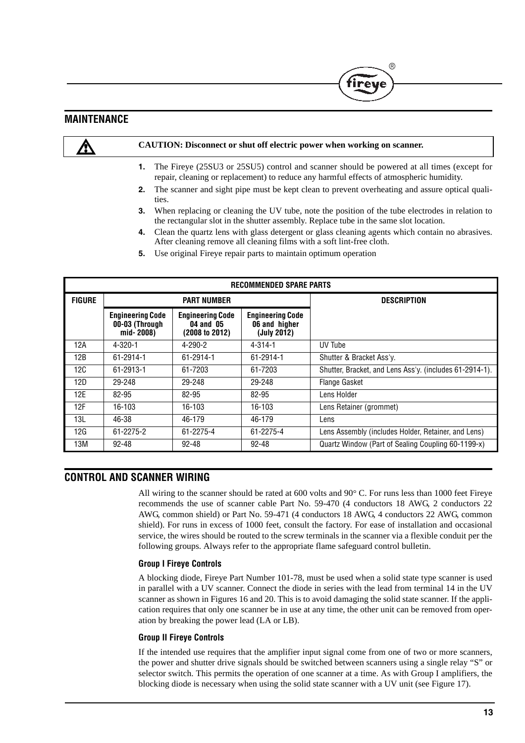## **MAINTENANCE**

**CAUTION: Disconnect or shut off electric power when working on scanner.**

- **1.** The Fireye (25SU3 or 25SU5) control and scanner should be powered at all times (except for repair, cleaning or replacement) to reduce any harmful effects of atmospheric humidity.
- **2.** The scanner and sight pipe must be kept clean to prevent overheating and assure optical qualities.
- **3.** When replacing or cleaning the UV tube, note the position of the tube electrodes in relation to the rectangular slot in the shutter assembly. Replace tube in the same slot location.
- **4.** Clean the quartz lens with glass detergent or glass cleaning agents which contain no abrasives. After cleaning remove all cleaning films with a soft lint-free cloth.
- **5.** Use original Fireye repair parts to maintain optimum operation

| <b>RECOMMENDED SPARE PARTS</b> |                                                        |                                                        |                                                         |                                                         |  |  |
|--------------------------------|--------------------------------------------------------|--------------------------------------------------------|---------------------------------------------------------|---------------------------------------------------------|--|--|
| <b>FIGURE</b>                  | <b>PART NUMBER</b>                                     |                                                        |                                                         | <b>DESCRIPTION</b>                                      |  |  |
|                                | <b>Engineering Code</b><br>00-03 (Through<br>mid-2008) | <b>Engineering Code</b><br>04 and 05<br>(2008 to 2012) | <b>Engineering Code</b><br>06 and higher<br>(July 2012) |                                                         |  |  |
| 12A                            | $4 - 320 - 1$                                          | $4 - 290 - 2$                                          | $4 - 314 - 1$                                           | UV Tube                                                 |  |  |
| 12B                            | 61-2914-1                                              | 61-2914-1                                              | 61-2914-1                                               | Shutter & Bracket Ass'y.                                |  |  |
| 12C                            | 61-2913-1                                              | 61-7203                                                | 61-7203                                                 | Shutter, Bracket, and Lens Ass'y. (includes 61-2914-1). |  |  |
| 12D                            | 29-248                                                 | 29-248                                                 | 29-248                                                  | <b>Flange Gasket</b>                                    |  |  |
| 12E                            | 82-95                                                  | 82-95                                                  | 82-95                                                   | Lens Holder                                             |  |  |
| 12F                            | 16-103                                                 | 16-103                                                 | 16-103                                                  | Lens Retainer (grommet)                                 |  |  |
| 13L                            | 46-38                                                  | 46-179                                                 | 46-179                                                  | Lens                                                    |  |  |
| 12G                            | 61-2275-2                                              | 61-2275-4                                              | 61-2275-4                                               | Lens Assembly (includes Holder, Retainer, and Lens)     |  |  |
| 13M                            | $92 - 48$                                              | $92 - 48$                                              | 92-48                                                   | Quartz Window (Part of Sealing Coupling 60-1199-x)      |  |  |

## **CONTROL AND SCANNER WIRING**

All wiring to the scanner should be rated at 600 volts and  $90^{\circ}$  C. For runs less than 1000 feet Fireye recommends the use of scanner cable Part No. 59-470 (4 conductors 18 AWG, 2 conductors 22 AWG, common shield) or Part No. 59-471 (4 conductors 18 AWG, 4 conductors 22 AWG, common shield). For runs in excess of 1000 feet, consult the factory. For ease of installation and occasional service, the wires should be routed to the screw terminals in the scanner via a flexible conduit per the following groups. Always refer to the appropriate flame safeguard control bulletin.

#### **Group I Fireye Controls**

A blocking diode, Fireye Part Number 101-78, must be used when a solid state type scanner is used in parallel with a UV scanner. Connect the diode in series with the lead from terminal 14 in the UV scanner as shown in Figures 16 and 20. This is to avoid damaging the solid state scanner. If the application requires that only one scanner be in use at any time, the other unit can be removed from operation by breaking the power lead (LA or LB).

#### **Group II Fireye Controls**

If the intended use requires that the amplifier input signal come from one of two or more scanners, the power and shutter drive signals should be switched between scanners using a single relay "S" or selector switch. This permits the operation of one scanner at a time. As with Group I amplifiers, the blocking diode is necessary when using the solid state scanner with a UV unit (see Figure 17).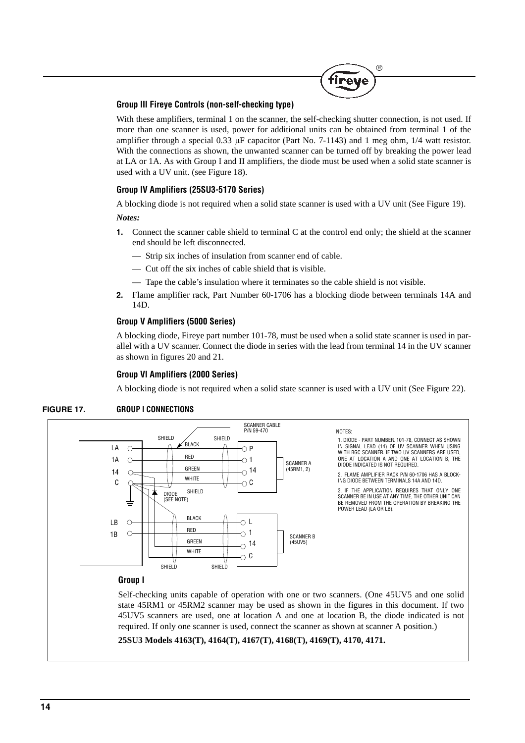

#### **Group III Fireye Controls (non-self-checking type)**

With these amplifiers, terminal 1 on the scanner, the self-checking shutter connection, is not used. If more than one scanner is used, power for additional units can be obtained from terminal 1 of the amplifier through a special 0.33  $\mu$ F capacitor (Part No. 7-1143) and 1 meg ohm, 1/4 watt resistor. With the connections as shown, the unwanted scanner can be turned off by breaking the power lead at LA or 1A. As with Group I and II amplifiers, the diode must be used when a solid state scanner is used with a UV unit. (see Figure 18).

#### **Group IV Amplifiers (25SU3-5170 Series)**

A blocking diode is not required when a solid state scanner is used with a UV unit (See Figure 19).

*Notes:*

- **1.** Connect the scanner cable shield to terminal C at the control end only; the shield at the scanner end should be left disconnected.
	- Strip six inches of insulation from scanner end of cable.
	- Cut off the six inches of cable shield that is visible.
	- Tape the cable's insulation where it terminates so the cable shield is not visible.
- **2.** Flame amplifier rack, Part Number 60-1706 has a blocking diode between terminals 14A and 14D.

#### **Group V Amplifiers (5000 Series)**

A blocking diode, Fireye part number 101-78, must be used when a solid state scanner is used in parallel with a UV scanner. Connect the diode in series with the lead from terminal 14 in the UV scanner as shown in figures 20 and 21.

### **Group VI Amplifiers (2000 Series)**

A blocking diode is not required when a solid state scanner is used with a UV unit (See Figure 22).



### **FIGURE 17. GROUP I CONNECTIONS**

state 45RM1 or 45RM2 scanner may be used as shown in the figures in this document. If two 45UV5 scanners are used, one at location A and one at location B, the diode indicated is not required. If only one scanner is used, connect the scanner as shown at scanner A position.)

```
25SU3 Models 4163(T), 4164(T), 4167(T), 4168(T), 4169(T), 4170, 4171.
```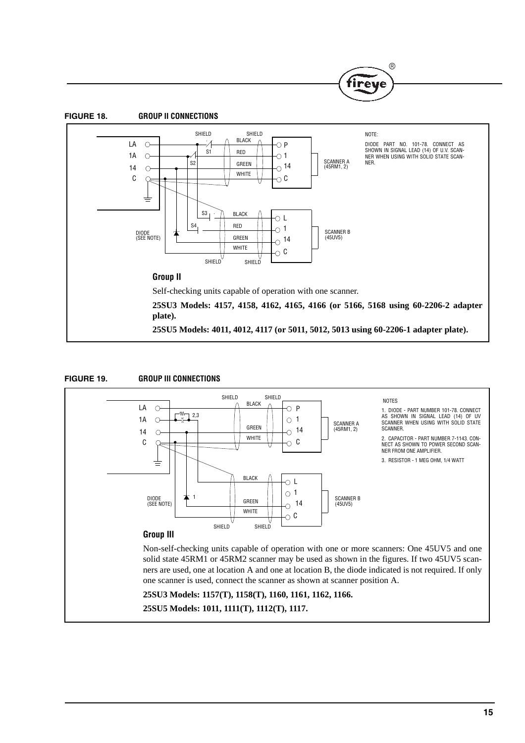







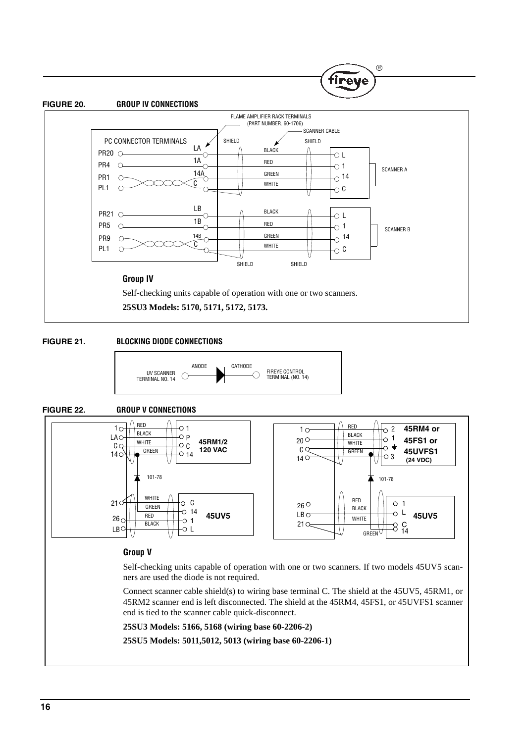#### **FIGURE 20. GROUP IV CONNECTIONS**



(R

ire

#### **FIGURE 21. BLOCKING DIODE CONNECTIONS**



#### **FIGURE 22. GROUP V CONNECTIONS**

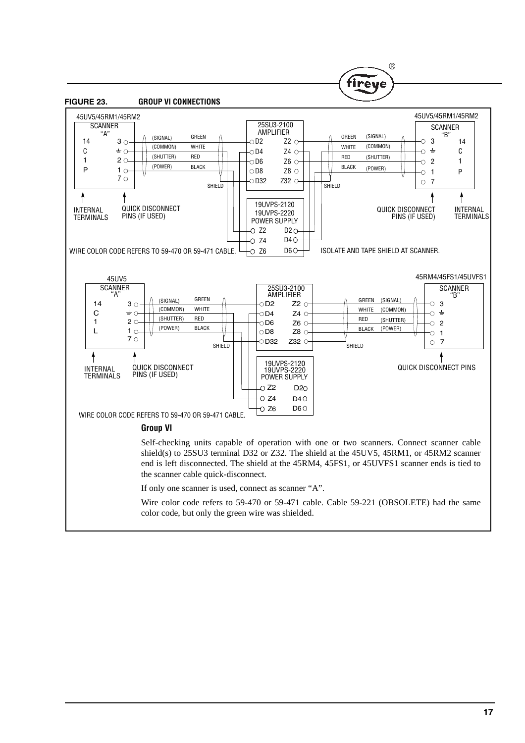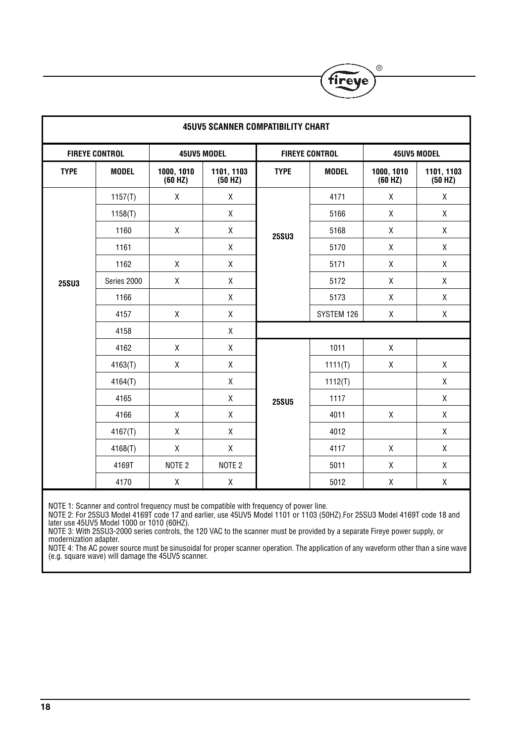| <b>45UV5 SCANNER COMPATIBILITY CHART</b> |              |                       |                         |                       |              |                       |                       |
|------------------------------------------|--------------|-----------------------|-------------------------|-----------------------|--------------|-----------------------|-----------------------|
| <b>FIREYE CONTROL</b>                    |              | 45UV5 MODEL           |                         | <b>FIREYE CONTROL</b> |              | 45UV5 MODEL           |                       |
| <b>TYPE</b>                              | <b>MODEL</b> | 1000, 1010<br>(60 HZ) | 1101, 1103<br>$(50$ HZ) | <b>TYPE</b>           | <b>MODEL</b> | 1000, 1010<br>(60 HZ) | 1101, 1103<br>(50 HZ) |
|                                          | 1157(T)      | Χ                     | X                       |                       | 4171         | Χ                     | X                     |
|                                          | 1158(T)      |                       | χ                       |                       | 5166         | Χ                     | X                     |
|                                          | 1160         | $\mathsf X$           | X                       | <b>25SU3</b>          | 5168         | Χ                     | χ                     |
|                                          | 1161         |                       | X                       |                       | 5170         | Χ                     | X                     |
|                                          | 1162         | Χ                     | $\mathsf X$             |                       | 5171         | $\mathsf X$           | χ                     |
| <b>25SU3</b>                             | Series 2000  | Χ                     | Χ                       |                       | 5172         | Χ                     | X                     |
|                                          | 1166         |                       | X                       |                       | 5173         | Χ                     | χ                     |
|                                          | 4157         | $\mathsf X$           | $\mathsf X$             |                       | SYSTEM 126   | χ                     | χ                     |
|                                          | 4158         |                       | X                       |                       |              |                       |                       |
|                                          | 4162         | $\mathsf X$           | χ                       |                       | 1011         | χ                     |                       |
|                                          | 4163(T)      | $\mathsf X$           | $\mathsf X$             |                       | 1111(T)      | Χ                     | χ                     |
|                                          | 4164(T)      |                       | χ                       |                       | 1112(T)      |                       | χ                     |
|                                          | 4165         |                       | χ                       | <b>25SU5</b>          | 1117         |                       | $\mathsf X$           |
|                                          | 4166         | $\mathsf X$           | Χ                       |                       | 4011         | Χ                     | χ                     |
|                                          | 4167(T)      | Χ                     | χ                       |                       | 4012         |                       | χ                     |
|                                          | 4168(T)      | X                     | $\mathsf X$             |                       | 4117         | X                     | $\mathsf X$           |
|                                          | 4169T        | NOTE <sub>2</sub>     | NOTE <sub>2</sub>       |                       | 5011         | Χ                     | Χ                     |
|                                          | 4170         | $\mathsf X$           | χ                       |                       | 5012         | Χ                     | $\mathsf X$           |

 $^{\circ}$ 

fireye

NOTE 1: Scanner and control frequency must be compatible with frequency of power line.

NOTE 2: For 25SU3 Model 4169T code 17 and earlier, use 45UV5 Model 1101 or 1103 (50HZ).For 25SU3 Model 4169T code 18 and later use 45UV5 Model 1000 or 1010 (60HZ).

NOTE 3: With 25SU3-2000 series controls, the 120 VAC to the scanner must be provided by a separate Fireye power supply, or modernization adapter.

NOTE 4: The AC power source must be sinusoidal for proper scanner operation. The application of any waveform other than a sine wave (e.g. square wave) will damage the 45UV5 scanner.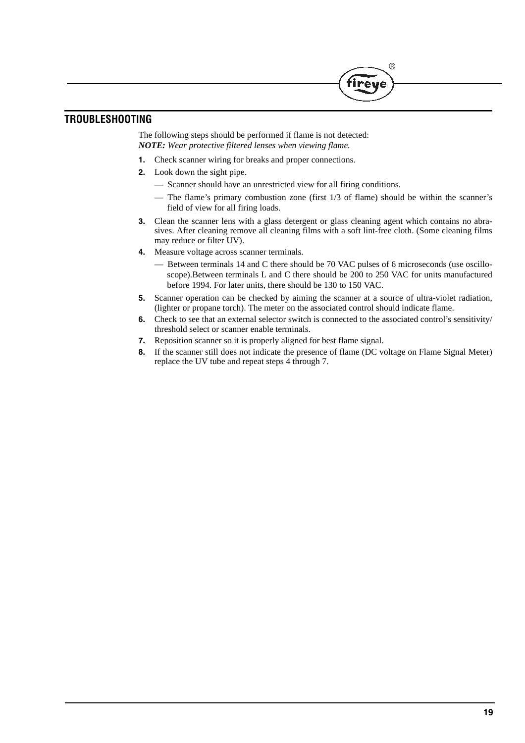## **TROUBLESHOOTING**

The following steps should be performed if flame is not detected: *NOTE: Wear protective filtered lenses when viewing flame.*

- **1.** Check scanner wiring for breaks and proper connections.
- **2.** Look down the sight pipe.
	- Scanner should have an unrestricted view for all firing conditions.
	- The flame's primary combustion zone (first 1/3 of flame) should be within the scanner's field of view for all firing loads.

**R** 

- **3.** Clean the scanner lens with a glass detergent or glass cleaning agent which contains no abrasives. After cleaning remove all cleaning films with a soft lint-free cloth. (Some cleaning films may reduce or filter UV).
- **4.** Measure voltage across scanner terminals.
	- Between terminals 14 and C there should be 70 VAC pulses of 6 microseconds (use oscilloscope).Between terminals L and C there should be 200 to 250 VAC for units manufactured before 1994. For later units, there should be 130 to 150 VAC.
- **5.** Scanner operation can be checked by aiming the scanner at a source of ultra-violet radiation, (lighter or propane torch). The meter on the associated control should indicate flame.
- **6.** Check to see that an external selector switch is connected to the associated control's sensitivity/ threshold select or scanner enable terminals.
- **7.** Reposition scanner so it is properly aligned for best flame signal.
- **8.** If the scanner still does not indicate the presence of flame (DC voltage on Flame Signal Meter) replace the UV tube and repeat steps 4 through 7.